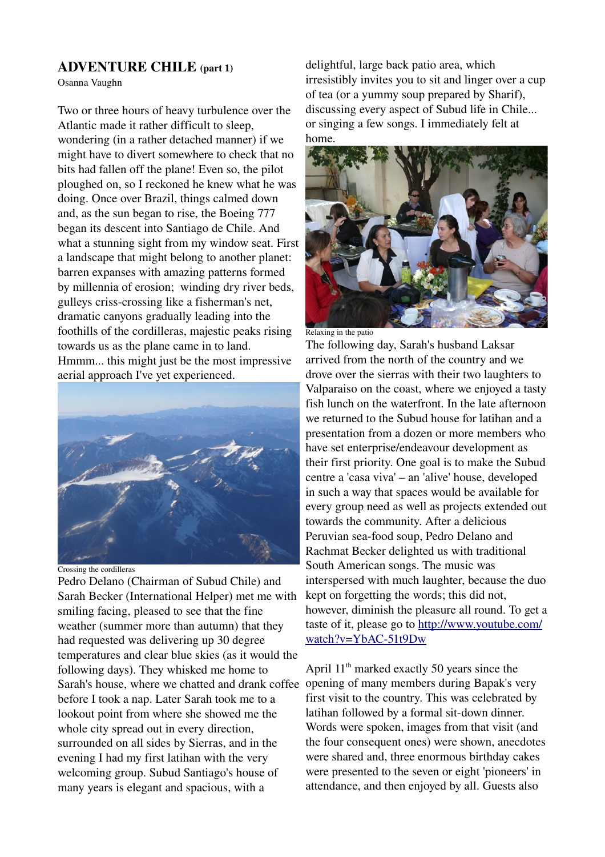## ADVENTURE CHILE (part 1)

Osanna Vaughn

Two or three hours of heavy turbulence over the Atlantic made it rather difficult to sleep, wondering (in a rather detached manner) if we might have to divert somewhere to check that no bits had fallen off the plane! Even so, the pilot ploughed on, so I reckoned he knew what he was doing. Once over Brazil, things calmed down and, as the sun began to rise, the Boeing 777 began its descent into Santiago de Chile. And what a stunning sight from my window seat. First a landscape that might belong to another planet: barren expanses with amazing patterns formed by millennia of erosion; winding dry river beds, gulleys criss-crossing like a fisherman's net, dramatic canyons gradually leading into the foothills of the cordilleras, majestic peaks rising towards us as the plane came in to land. Hmmm... this might just be the most impressive aerial approach I've yet experienced.



Crossing the cordilleras

Pedro Delano (Chairman of Subud Chile) and Sarah Becker (International Helper) met me with smiling facing, pleased to see that the fine weather (summer more than autumn) that they had requested was delivering up 30 degree temperatures and clear blue skies (as it would the following days). They whisked me home to Sarah's house, where we chatted and drank coffee opening of many members during Bapak's very before I took a nap. Later Sarah took me to a lookout point from where she showed me the whole city spread out in every direction, surrounded on all sides by Sierras, and in the evening I had my first latihan with the very welcoming group. Subud Santiago's house of many years is elegant and spacious, with a

delightful, large back patio area, which irresistibly invites you to sit and linger over a cup of tea (or a yummy soup prepared by Sharif), discussing every aspect of Subud life in Chile... or singing a few songs. I immediately felt at home.



Relaxing in the patio

The following day, Sarah's husband Laksar arrived from the north of the country and we drove over the sierras with their two laughters to Valparaiso on the coast, where we enjoyed a tasty fish lunch on the waterfront. In the late afternoon we returned to the Subud house for latihan and a presentation from a dozen or more members who have set enterprise/endeavour development as their first priority. One goal is to make the Subud centre a 'casa viva' – an 'alive' house, developed in such a way that spaces would be available for every group need as well as projects extended out towards the community. After a delicious Peruvian sea-food soup, Pedro Delano and Rachmat Becker delighted us with traditional South American songs. The music was interspersed with much laughter, because the duo kept on forgetting the words; this did not, however, diminish the pleasure all round. To get a taste of it, please go to [http://www.youtube.com/](http://www.youtube.com/watch?v=YbAC-51t9Dw) watch?v=YbAC-51t9Dw

April 11th marked exactly 50 years since the first visit to the country. This was celebrated by latihan followed by a formal sit-down dinner. Words were spoken, images from that visit (and the four consequent ones) were shown, anecdotes were shared and, three enormous birthday cakes were presented to the seven or eight 'pioneers' in attendance, and then enjoyed by all. Guests also